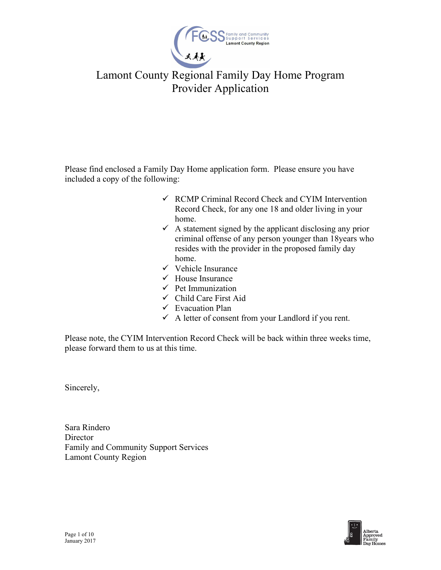

Please find enclosed a Family Day Home application form. Please ensure you have included a copy of the following:

- $\checkmark$  RCMP Criminal Record Check and CYIM Intervention Record Check, for any one 18 and older living in your home.
- $\checkmark$  A statement signed by the applicant disclosing any prior criminal offense of any person younger than 18years who resides with the provider in the proposed family day home.
- $\checkmark$  Vehicle Insurance
- $\checkmark$  House Insurance
- $\checkmark$  Pet Immunization
- $\checkmark$  Child Care First Aid
- $\checkmark$  Evacuation Plan
- $\checkmark$  A letter of consent from your Landlord if you rent.

Please note, the CYIM Intervention Record Check will be back within three weeks time, please forward them to us at this time.

Sincerely,

Sara Rindero **Director** Family and Community Support Services Lamont County Region

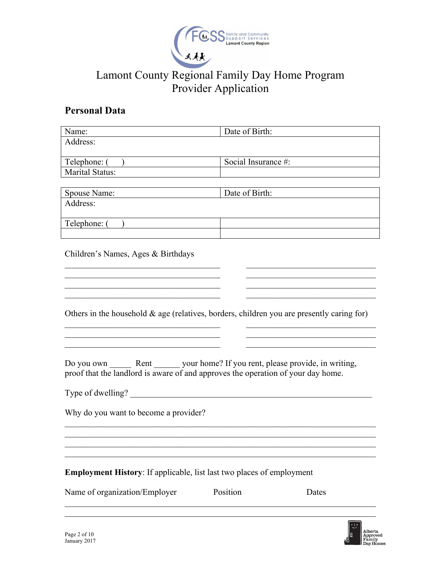

### **Personal Data**

| Name:                                                                                                                                                                     | Date of Birth: |                     |  |
|---------------------------------------------------------------------------------------------------------------------------------------------------------------------------|----------------|---------------------|--|
| Address:                                                                                                                                                                  |                |                     |  |
| Telephone: (                                                                                                                                                              |                | Social Insurance #: |  |
| <b>Marital Status:</b>                                                                                                                                                    |                |                     |  |
|                                                                                                                                                                           |                |                     |  |
| Spouse Name:                                                                                                                                                              | Date of Birth: |                     |  |
| Address:                                                                                                                                                                  |                |                     |  |
| Telephone: (                                                                                                                                                              |                |                     |  |
| Children's Names, Ages & Birthdays                                                                                                                                        |                |                     |  |
|                                                                                                                                                                           |                |                     |  |
| Others in the household $\&$ age (relatives, borders, children you are presently caring for)                                                                              |                |                     |  |
| Do you own ________ Rent ________ your home? If you rent, please provide, in writing,<br>proof that the landlord is aware of and approves the operation of your day home. |                |                     |  |
| Type of dwelling?                                                                                                                                                         |                |                     |  |
| Why do you want to become a provider?                                                                                                                                     |                |                     |  |
|                                                                                                                                                                           |                |                     |  |
| Employment History: If applicable, list last two places of employment                                                                                                     |                |                     |  |
| Name of organization/Employer                                                                                                                                             | Position       | Dates               |  |

 $\mathcal{L}_\text{G}$  , and the contribution of the contribution of the contribution of the contribution of the contribution of the contribution of the contribution of the contribution of the contribution of the contribution of t

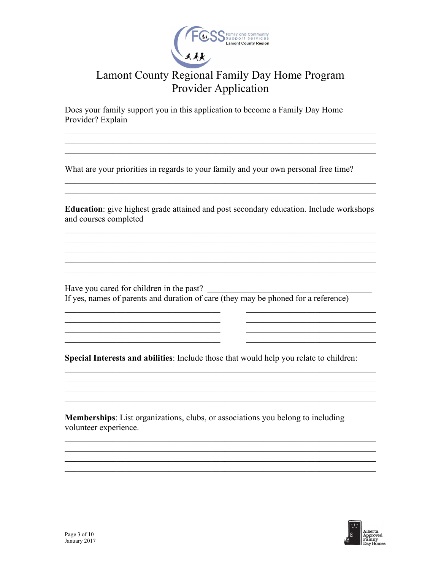

Does your family support you in this application to become a Family Day Home Provider? Explain

What are your priorities in regards to your family and your own personal free time?

**Education:** give highest grade attained and post secondary education. Include workshops and courses completed

<u> 2008 - 2008 - 2008 - 2008 - 2008 - 2008 - 2008 - 2008 - 2008 - 2008 - 2008 - 2008 - 2008 - 2008 - 2008 - 200</u>

Have you cared for children in the past?<br>If yes, names of parents and duration of care (they may be phoned for a reference)

<u> 1989 - Johann Stoff, deutscher Stoffen und der Stoffen und der Stoffen und der Stoffen und der Stoffen und der</u>

Special Interests and abilities: Include those that would help you relate to children:

<u> 1989 - Johann Stoff, amerikansk politiker (d. 1989)</u>

**Memberships:** List organizations, clubs, or associations you belong to including volunteer experience.

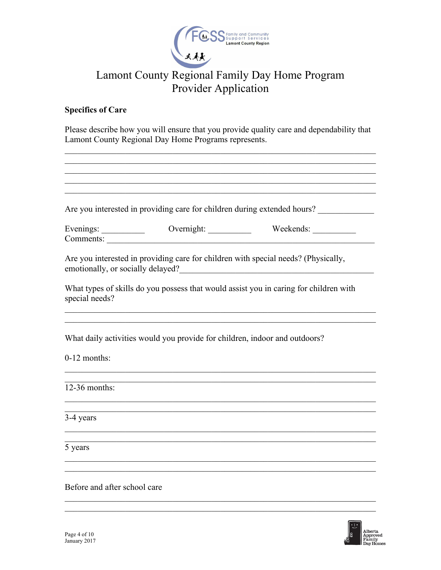

### **Specifics of Care**

Please describe how you will ensure that you provide quality care and dependability that Lamont County Regional Day Home Programs represents.

| Are you interested in providing care for children during extended hours?                                                                                                                                                       |
|--------------------------------------------------------------------------------------------------------------------------------------------------------------------------------------------------------------------------------|
| Evenings: Overnight: Weekends: Weekends: Newsaments: Overnight: Newsaments: Newsaments: Newsaments: Newsaments: Newsaments: Newsaments: Newsaments: Newsaments: Newsaments: Newsaments: Newsaments: Newsaments: Newsaments: Ne |
| Are you interested in providing care for children with special needs? (Physically,<br>emotionally, or socially delayed?                                                                                                        |
| What types of skills do you possess that would assist you in caring for children with                                                                                                                                          |
| What daily activities would you provide for children, indoor and outdoors?                                                                                                                                                     |
|                                                                                                                                                                                                                                |
|                                                                                                                                                                                                                                |
|                                                                                                                                                                                                                                |
| ,我们也不能在这里的时候,我们也不能在这里的时候,我们也不能会在这里的时候,我们也不能会在这里的时候,我们也不能会在这里的时候,我们也不能会在这里的时候,我们也                                                                                                                                               |
|                                                                                                                                                                                                                                |
| Before and after school care                                                                                                                                                                                                   |

 $\mathcal{L}_\mathcal{L} = \mathcal{L}_\mathcal{L} = \mathcal{L}_\mathcal{L} = \mathcal{L}_\mathcal{L} = \mathcal{L}_\mathcal{L} = \mathcal{L}_\mathcal{L} = \mathcal{L}_\mathcal{L} = \mathcal{L}_\mathcal{L} = \mathcal{L}_\mathcal{L} = \mathcal{L}_\mathcal{L} = \mathcal{L}_\mathcal{L} = \mathcal{L}_\mathcal{L} = \mathcal{L}_\mathcal{L} = \mathcal{L}_\mathcal{L} = \mathcal{L}_\mathcal{L} = \mathcal{L}_\mathcal{L} = \mathcal{L}_\mathcal{L}$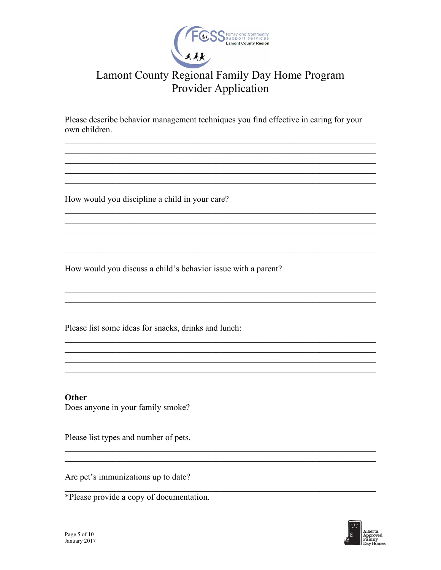

Please describe behavior management techniques you find effective in caring for your own children.

<u> 1989 - Johann Stoff, amerikansk politiker (d. 1989)</u>

How would you discipline a child in your care?

How would you discuss a child's behavior issue with a parent?

Please list some ideas for snacks, drinks and lunch:

Other Does anyone in your family smoke?

Please list types and number of pets.

Are pet's immunizations up to date?



<sup>\*</sup>Please provide a copy of documentation.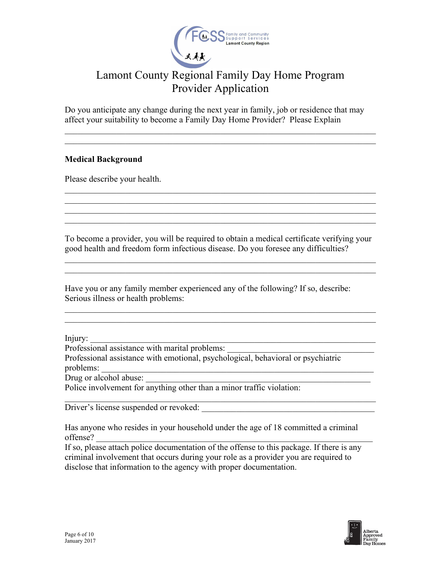

Do you anticipate any change during the next year in family, job or residence that may affect your suitability to become a Family Day Home Provider? Please Explain

 $\mathcal{L}_\text{G}$  , and the contribution of the contribution of the contribution of the contribution of the contribution of the contribution of the contribution of the contribution of the contribution of the contribution of t

#### **Medical Background**

Please describe your health.

To become a provider, you will be required to obtain a medical certificate verifying your good health and freedom form infectious disease. Do you foresee any difficulties?

 $\mathcal{L}_\text{max} = \mathcal{L}_\text{max} = \mathcal{L}_\text{max} = \mathcal{L}_\text{max} = \mathcal{L}_\text{max} = \mathcal{L}_\text{max} = \mathcal{L}_\text{max} = \mathcal{L}_\text{max} = \mathcal{L}_\text{max} = \mathcal{L}_\text{max} = \mathcal{L}_\text{max} = \mathcal{L}_\text{max} = \mathcal{L}_\text{max} = \mathcal{L}_\text{max} = \mathcal{L}_\text{max} = \mathcal{L}_\text{max} = \mathcal{L}_\text{max} = \mathcal{L}_\text{max} = \mathcal{$ 

 $\mathcal{L}_\text{max} = \mathcal{L}_\text{max} = \mathcal{L}_\text{max} = \mathcal{L}_\text{max} = \mathcal{L}_\text{max} = \mathcal{L}_\text{max} = \mathcal{L}_\text{max} = \mathcal{L}_\text{max} = \mathcal{L}_\text{max} = \mathcal{L}_\text{max} = \mathcal{L}_\text{max} = \mathcal{L}_\text{max} = \mathcal{L}_\text{max} = \mathcal{L}_\text{max} = \mathcal{L}_\text{max} = \mathcal{L}_\text{max} = \mathcal{L}_\text{max} = \mathcal{L}_\text{max} = \mathcal{$ 

 $\mathcal{L}_\text{G}$  , and the contribution of the contribution of the contribution of the contribution of the contribution of the contribution of the contribution of the contribution of the contribution of the contribution of t  $\mathcal{L}_\text{max} = \mathcal{L}_\text{max} = \mathcal{L}_\text{max} = \mathcal{L}_\text{max} = \mathcal{L}_\text{max} = \mathcal{L}_\text{max} = \mathcal{L}_\text{max} = \mathcal{L}_\text{max} = \mathcal{L}_\text{max} = \mathcal{L}_\text{max} = \mathcal{L}_\text{max} = \mathcal{L}_\text{max} = \mathcal{L}_\text{max} = \mathcal{L}_\text{max} = \mathcal{L}_\text{max} = \mathcal{L}_\text{max} = \mathcal{L}_\text{max} = \mathcal{L}_\text{max} = \mathcal{$ 

Have you or any family member experienced any of the following? If so, describe: Serious illness or health problems:

Injury: \_\_\_\_\_\_\_\_\_\_\_\_\_\_\_\_\_\_\_\_\_\_\_\_\_\_\_\_\_\_\_\_\_\_\_\_\_\_\_\_\_\_\_\_\_\_\_\_\_\_\_\_\_\_\_\_\_\_\_\_\_\_\_\_\_\_

Professional assistance with marital problems:

Professional assistance with emotional, psychological, behavioral or psychiatric problems:

Drug or alcohol abuse:

Police involvement for anything other than a minor traffic violation:

Driver's license suspended or revoked:

Has anyone who resides in your household under the age of 18 committed a criminal  $\text{offense?}$ 

 $\mathcal{L}_\text{G}$  , and the contribution of the contribution of the contribution of the contribution of the contribution of the contribution of the contribution of the contribution of the contribution of the contribution of t

If so, please attach police documentation of the offense to this package. If there is any criminal involvement that occurs during your role as a provider you are required to disclose that information to the agency with proper documentation.

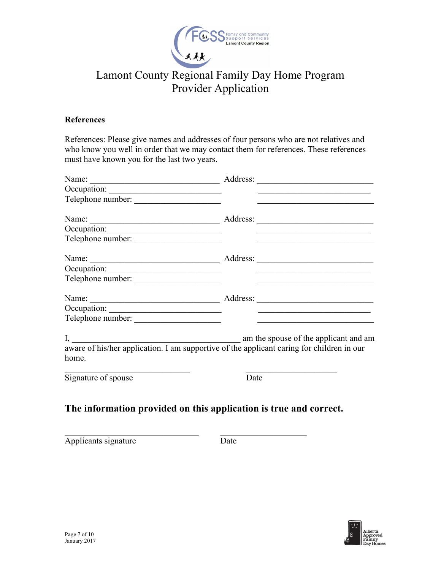

#### **References**

References: Please give names and addresses of four persons who are not relatives and who know you well in order that we may contact them for references. These references must have known you for the last two years.

| Telephone number:                                                                            | <u> 1980 - John Stein, Amerikaansk politiker (* 1950)</u>                                          |
|----------------------------------------------------------------------------------------------|----------------------------------------------------------------------------------------------------|
|                                                                                              |                                                                                                    |
|                                                                                              |                                                                                                    |
|                                                                                              |                                                                                                    |
|                                                                                              |                                                                                                    |
|                                                                                              |                                                                                                    |
| Telephone number:                                                                            | <u>and the second control of the second control of the second control of the second control of</u> |
|                                                                                              |                                                                                                    |
|                                                                                              |                                                                                                    |
| Telephone number:                                                                            | the control of the control of the control of the control of the control of the control of          |
| I, aware of his/her application. I am supportive of the applicant caring for children in our | am the spouse of the applicant and am                                                              |
| home.                                                                                        |                                                                                                    |
| Signature of spouse                                                                          | Date                                                                                               |
| The information provided on this application is true and correct.                            |                                                                                                    |

Applicants signature Date

\_\_\_\_\_\_\_\_\_\_\_\_\_\_\_\_\_\_\_\_\_\_\_\_\_\_\_\_\_\_\_ \_\_\_\_\_\_\_\_\_\_\_\_\_\_\_\_\_\_\_\_

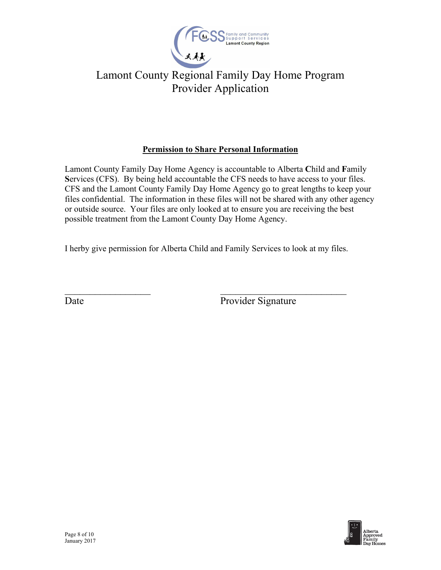

### **Permission to Share Personal Information**

Lamont County Family Day Home Agency is accountable to Alberta **C**hild and **F**amily **S**ervices (CFS). By being held accountable the CFS needs to have access to your files. CFS and the Lamont County Family Day Home Agency go to great lengths to keep your files confidential. The information in these files will not be shared with any other agency or outside source. Your files are only looked at to ensure you are receiving the best possible treatment from the Lamont County Day Home Agency.

I herby give permission for Alberta Child and Family Services to look at my files.

 $\overline{\phantom{a}}$  , and the contract of the contract of the contract of the contract of the contract of the contract of the contract of the contract of the contract of the contract of the contract of the contract of the contrac

Date Provider Signature

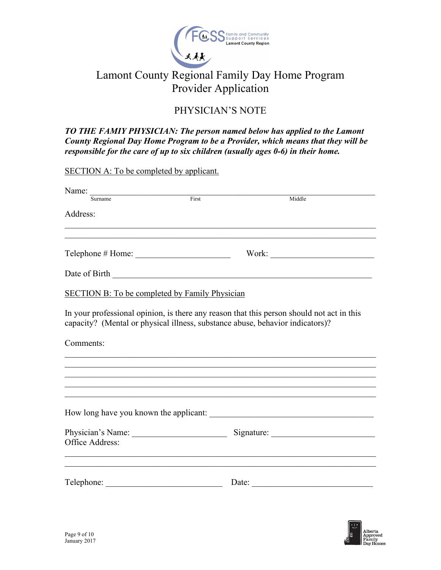

### PHYSICIAN'S NOTE

*TO THE FAMIY PHYSICIAN: The person named below has applied to the Lamont County Regional Day Home Program to be a Provider, which means that they will be responsible for the care of up to six children (usually ages 0-6) in their home.* 

SECTION A: To be completed by applicant. Name: \_\_\_\_\_\_\_\_\_\_\_\_\_\_\_\_\_\_\_\_\_\_\_\_\_\_\_\_\_\_\_\_\_\_\_\_\_\_\_\_\_\_\_\_\_\_\_\_\_\_\_\_\_\_\_\_\_\_\_\_\_\_\_\_\_\_ Surname **First** First **Middle** Address:  $\mathcal{L}_\text{G}$  , and the contribution of the contribution of the contribution of the contribution of the contribution of the contribution of the contribution of the contribution of the contribution of the contribution of t  $\mathcal{L}_\text{G}$  , and the contribution of the contribution of the contribution of the contribution of the contribution of the contribution of the contribution of the contribution of the contribution of the contribution of t Telephone # Home: \_\_\_\_\_\_\_\_\_\_\_\_\_\_\_\_\_\_\_\_\_\_ Work: \_\_\_\_\_\_\_\_\_\_\_\_\_\_\_\_\_\_\_\_\_\_\_\_ Date of Birth \_\_\_\_\_\_\_\_\_\_\_\_\_\_\_\_\_\_\_\_\_\_\_\_\_\_\_\_\_\_\_\_\_\_\_\_\_\_\_\_\_\_\_\_\_\_\_\_\_\_\_\_\_\_\_\_\_\_\_\_ SECTION B: To be completed by Family Physician In your professional opinion, is there any reason that this person should not act in this capacity? (Mental or physical illness, substance abuse, behavior indicators)? Comments:  $\mathcal{L}_\text{G}$  , and the contribution of the contribution of the contribution of the contribution of the contribution of the contribution of the contribution of the contribution of the contribution of the contribution of t  $\mathcal{L}_\text{G}$  , and the contribution of the contribution of the contribution of the contribution of the contribution of the contribution of the contribution of the contribution of the contribution of the contribution of t  $\mathcal{L}_\text{G}$  , and the contribution of the contribution of the contribution of the contribution of the contribution of the contribution of the contribution of the contribution of the contribution of the contribution of t How long have you known the applicant: \_\_\_\_\_\_\_\_\_\_\_\_\_\_\_\_\_\_\_\_\_\_\_\_\_\_\_\_\_\_\_\_\_\_\_\_\_\_ Physician's Name: <br>
Signature: Signature: Office Address:

Telephone: \_\_\_\_\_\_\_\_\_\_\_\_\_\_\_\_\_\_\_\_\_\_\_\_\_\_\_ Date: \_\_\_\_\_\_\_\_\_\_\_\_\_\_\_\_\_\_\_\_\_\_\_\_\_\_\_\_

 $\mathcal{L}_\text{G}$  , and the contribution of the contribution of the contribution of the contribution of the contribution of the contribution of the contribution of the contribution of the contribution of the contribution of t